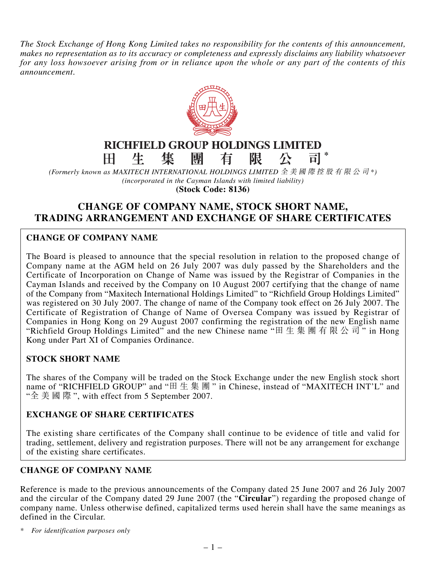*The Stock Exchange of Hong Kong Limited takes no responsibility for the contents of this announcement, makes no representation as to its accuracy or completeness and expressly disclaims any liability whatsoever for any loss howsoever arising from or in reliance upon the whole or any part of the contents of this announcement.*



#### **RICHFIELD GROUP HOLDINGS LIMITED** 田 生 集 有 限 司 **\***

*(Formerly known as MAXITECH INTERNATIONAL HOLDINGS LIMITED* 全美國際控股有限公司 *\*) (incorporated in the Cayman Islands with limited liability)* **(Stock Code: 8136)**

# **CHANGE OF COMPANY NAME, STOCK SHORT NAME, TRADING ARRANGEMENT AND EXCHANGE OF SHARE CERTIFICATES**

## **CHANGE OF COMPANY NAME**

The Board is pleased to announce that the special resolution in relation to the proposed change of Company name at the AGM held on 26 July 2007 was duly passed by the Shareholders and the Certificate of Incorporation on Change of Name was issued by the Registrar of Companies in the Cayman Islands and received by the Company on 10 August 2007 certifying that the change of name of the Company from "Maxitech International Holdings Limited" to "Richfield Group Holdings Limited" was registered on 30 July 2007. The change of name of the Company took effect on 26 July 2007. The Certificate of Registration of Change of Name of Oversea Company was issued by Registrar of Companies in Hong Kong on 29 August 2007 confirming the registration of the new English name "Richfield Group Holdings Limited" and the new Chinese name "田生集團有限公司" in Hong Kong under Part XI of Companies Ordinance.

#### **STOCK SHORT NAME**

The shares of the Company will be traded on the Stock Exchange under the new English stock short name of "RICHFIELD GROUP" and "田生集團" in Chinese, instead of "MAXITECH INT'L" and "全美國際 ", with effect from 5 September 2007.

#### **EXCHANGE OF SHARE CERTIFICATES**

The existing share certificates of the Company shall continue to be evidence of title and valid for trading, settlement, delivery and registration purposes. There will not be any arrangement for exchange of the existing share certificates.

## **CHANGE OF COMPANY NAME**

Reference is made to the previous announcements of the Company dated 25 June 2007 and 26 July 2007 and the circular of the Company dated 29 June 2007 (the "**Circular**") regarding the proposed change of company name. Unless otherwise defined, capitalized terms used herein shall have the same meanings as defined in the Circular.

*\* For identification purposes only*